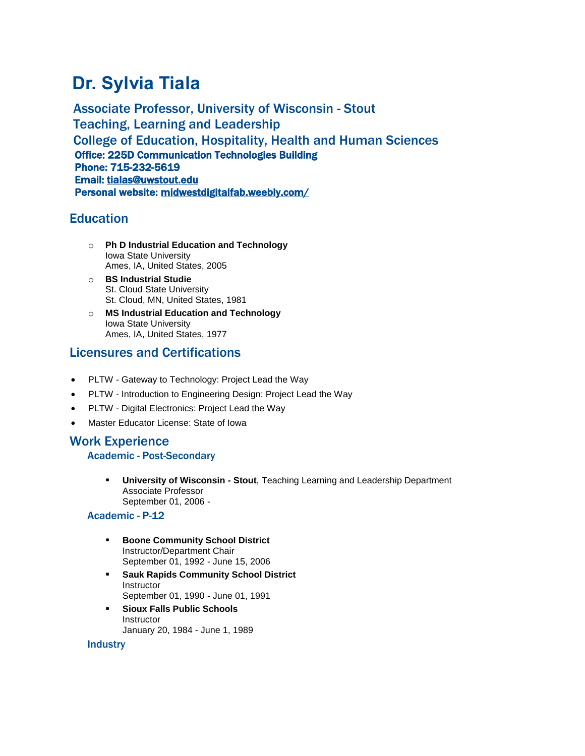# **Dr. Sylvia Tiala**

Associate Professor, University of Wisconsin - Stout Teaching, Learning and Leadership College of Education, Hospitality, Health and Human Sciences Office: 225D Communication Technologies Building Phone: 715-232-5619 Email: [tialas@uwstout.edu](mailto:tialas@uwstout.edu)  Personal website: [midwestdigitalfab.weebly.com/](http://midwestdigitalfab.weebly.com/)

# **Education**

- o **Ph D Industrial Education and Technology** Iowa State University Ames, IA, United States, 2005
- o **BS Industrial Studie** St. Cloud State University St. Cloud, MN, United States, 1981
- o **MS Industrial Education and Technology** Iowa State University Ames, IA, United States, 1977

# Licensures and Certifications

- PLTW Gateway to Technology: Project Lead the Way
- PLTW Introduction to Engineering Design: Project Lead the Way
- PLTW Digital Electronics: Project Lead the Way
- Master Educator License: State of Iowa

# Work Experience

## Academic - Post-Secondary

▪ **University of Wisconsin - Stout**, Teaching Learning and Leadership Department Associate Professor September 01, 2006 -

## Academic - P-12

- **Boone Community School District** Instructor/Department Chair September 01, 1992 - June 15, 2006
- **Sauk Rapids Community School District Instructor** September 01, 1990 - June 01, 1991
- **Sioux Falls Public Schools** Instructor January 20, 1984 - June 1, 1989

#### **Industry**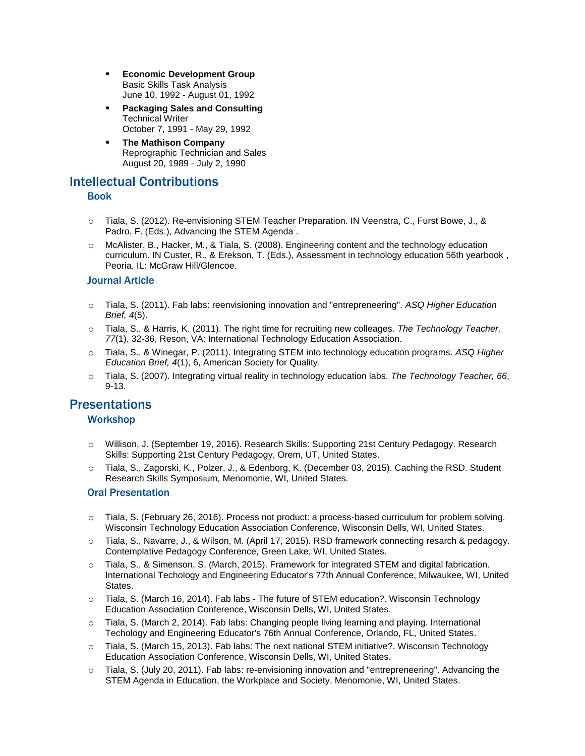- **Economic Development Group** Basic Skills Task Analysis June 10, 1992 - August 01, 1992
- **Packaging Sales and Consulting** Technical Writer October 7, 1991 - May 29, 1992
- **The Mathison Company** Reprographic Technician and Sales August 20, 1989 - July 2, 1990

# Intellectual Contributions

## Book

- o Tiala, S. (2012). Re-envisioning STEM Teacher Preparation. IN Veenstra, C., Furst Bowe, J., & Padro, F. (Eds.), Advancing the STEM Agenda .
- o McAlister, B., Hacker, M., & Tiala, S. (2008). Engineering content and the technology education curriculum. IN Custer, R., & Erekson, T. (Eds.), Assessment in technology education 56th yearbook , Peoria, IL: McGraw Hill/Glencoe.

## Journal Article

- o Tiala, S. (2011). Fab labs: reenvisioning innovation and "entrepreneering". *ASQ Higher Education Brief, 4*(5).
- o Tiala, S., & Harris, K. (2011). The right time for recruiting new colleages. *The Technology Teacher, 77*(1), 32-36, Reson, VA: International Technology Education Association.
- o Tiala, S., & Winegar, P. (2011). Integrating STEM into technology education programs. *ASQ Higher Education Brief, 4*(1), 6, American Society for Quality.
- o Tiala, S. (2007). Integrating virtual reality in technology education labs. *The Technology Teacher, 66*, 9-13.

# **Presentations**

## **Workshop**

- o Willison, J. (September 19, 2016). Research Skills: Supporting 21st Century Pedagogy. Research Skills: Supporting 21st Century Pedagogy, Orem, UT, United States.
- o Tiala, S., Zagorski, K., Polzer, J., & Edenborg, K. (December 03, 2015). Caching the RSD. Student Research Skills Symposium, Menomonie, WI, United States.

## Oral Presentation

- o Tiala, S. (February 26, 2016). Process not product: a process-based curriculum for problem solving. Wisconsin Technology Education Association Conference, Wisconsin Dells, WI, United States.
- o Tiala, S., Navarre, J., & Wilson, M. (April 17, 2015). RSD framework connecting resarch & pedagogy. Contemplative Pedagogy Conference, Green Lake, WI, United States.
- o Tiala, S., & Simenson, S. (March, 2015). Framework for integrated STEM and digital fabrication. International Techology and Engineering Educator's 77th Annual Conference, Milwaukee, WI, United **States**
- o Tiala, S. (March 16, 2014). Fab labs The future of STEM education?. Wisconsin Technology Education Association Conference, Wisconsin Dells, WI, United States.
- o Tiala, S. (March 2, 2014). Fab labs: Changing people living learning and playing. International Techology and Engineering Educator's 76th Annual Conference, Orlando, FL, United States.
- o Tiala, S. (March 15, 2013). Fab labs: The next national STEM initiative?. Wisconsin Technology Education Association Conference, Wisconsin Dells, WI, United States.
- $\circ$  Tiala, S. (July 20, 2011). Fab labs: re-envisioning innovation and "entrepreneering". Advancing the STEM Agenda in Education, the Workplace and Society, Menomonie, WI, United States.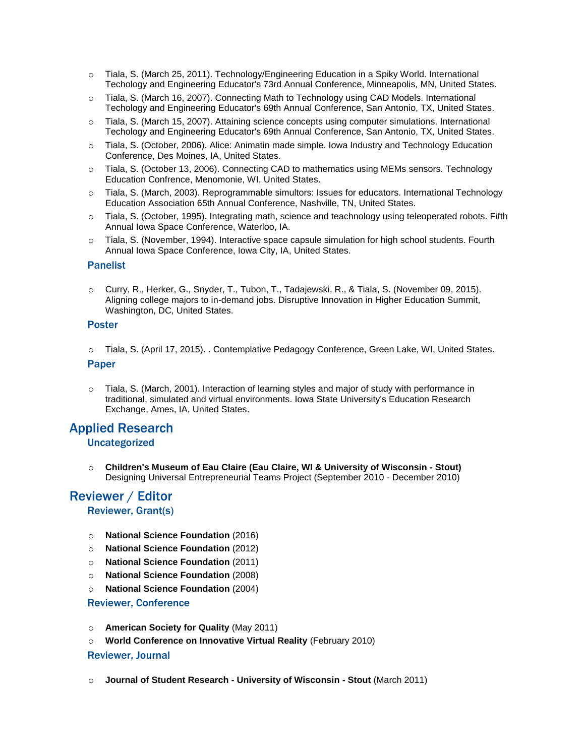- o Tiala, S. (March 25, 2011). Technology/Engineering Education in a Spiky World. International Techology and Engineering Educator's 73rd Annual Conference, Minneapolis, MN, United States.
- o Tiala, S. (March 16, 2007). Connecting Math to Technology using CAD Models. International Techology and Engineering Educator's 69th Annual Conference, San Antonio, TX, United States.
- o Tiala, S. (March 15, 2007). Attaining science concepts using computer simulations. International Techology and Engineering Educator's 69th Annual Conference, San Antonio, TX, United States.
- o Tiala, S. (October, 2006). Alice: Animatin made simple. Iowa Industry and Technology Education Conference, Des Moines, IA, United States.
- o Tiala, S. (October 13, 2006). Connecting CAD to mathematics using MEMs sensors. Technology Education Confrence, Menomonie, WI, United States.
- o Tiala, S. (March, 2003). Reprogrammable simultors: Issues for educators. International Technology Education Association 65th Annual Conference, Nashville, TN, United States.
- o Tiala, S. (October, 1995). Integrating math, science and teachnology using teleoperated robots. Fifth Annual Iowa Space Conference, Waterloo, IA.
- o Tiala, S. (November, 1994). Interactive space capsule simulation for high school students. Fourth Annual Iowa Space Conference, Iowa City, IA, United States.

#### Panelist

o Curry, R., Herker, G., Snyder, T., Tubon, T., Tadajewski, R., & Tiala, S. (November 09, 2015). Aligning college majors to in-demand jobs. Disruptive Innovation in Higher Education Summit, Washington, DC, United States.

#### Poster

- o Tiala, S. (April 17, 2015). . Contemplative Pedagogy Conference, Green Lake, WI, United States. Paper
- o Tiala, S. (March, 2001). Interaction of learning styles and major of study with performance in traditional, simulated and virtual environments. Iowa State University's Education Research Exchange, Ames, IA, United States.

## Applied Research

#### Uncategorized

o **Children's Museum of Eau Claire (Eau Claire, WI & University of Wisconsin - Stout)** Designing Universal Entrepreneurial Teams Project (September 2010 - December 2010)

# Reviewer / Editor

## Reviewer, Grant(s)

- o **National Science Foundation** (2016)
- o **National Science Foundation** (2012)
- o **National Science Foundation** (2011)
- o **National Science Foundation** (2008)
- o **National Science Foundation** (2004)

#### Reviewer, Conference

- o **American Society for Quality** (May 2011)
- o **World Conference on Innovative Virtual Reality** (February 2010)

#### Reviewer, Journal

o **Journal of Student Research - University of Wisconsin - Stout** (March 2011)